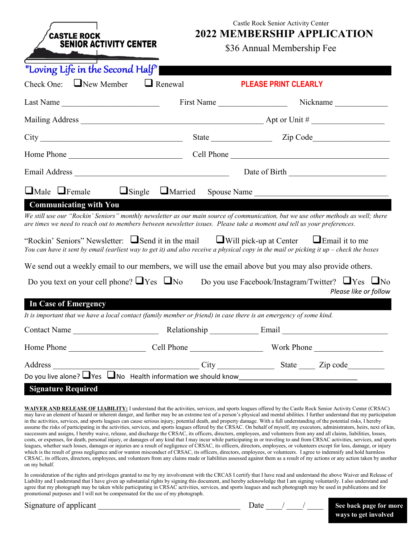Castle Rock Senior Activity Center

# **2022 MEMBERSHIP APPLICATION**

\$36 Annual Membership Fee

| "Loving Life in the Second Half"<br>Check One: $\Box$ New Member                                                                                                                                                                                              | $\Box$ Renewal |  | <b>PLEASE PRINT CLEARLY</b> |                            |
|---------------------------------------------------------------------------------------------------------------------------------------------------------------------------------------------------------------------------------------------------------------|----------------|--|-----------------------------|----------------------------|
|                                                                                                                                                                                                                                                               |                |  |                             |                            |
| Last Name                                                                                                                                                                                                                                                     | First Name     |  |                             | Nickname                   |
|                                                                                                                                                                                                                                                               |                |  |                             |                            |
|                                                                                                                                                                                                                                                               |                |  |                             |                            |
|                                                                                                                                                                                                                                                               |                |  |                             |                            |
|                                                                                                                                                                                                                                                               |                |  |                             | Date of Birth              |
| $\Box$ Male $\Box$ Female                                                                                                                                                                                                                                     |                |  |                             | Single Married Spouse Name |
| <b>Communicating with You</b>                                                                                                                                                                                                                                 |                |  |                             |                            |
| We still use our "Rockin' Seniors" monthly newsletter as our main source of communication, but we use other methods as well; there<br>are times we need to reach out to members between newsletter issues. Please take a moment and tell us your preferences. |                |  |                             |                            |
| "Rockin' Seniors" Newsletter: $\Box$ Send it in the mail $\Box$ Will pick-up at Center $\Box$ Email it to me<br>You can have it sent by email (earliest way to get it) and also receive a physical copy in the mail or picking it up $-$ check the boxes      |                |  |                             |                            |
| We send out a weekly email to our members, we will use the email above but you may also provide others.                                                                                                                                                       |                |  |                             |                            |
| Do you text on your cell phone? $\Box$ Yes $\Box$ No Do you use Facebook/Instagram/Twitter? $\Box$ Yes $\Box$ No                                                                                                                                              |                |  |                             | Please like or follow      |
| In Case of Emergency                                                                                                                                                                                                                                          |                |  |                             |                            |
| It is important that we have a local contact (family member or friend) in case there is an emergency of some kind.                                                                                                                                            |                |  |                             |                            |
|                                                                                                                                                                                                                                                               |                |  |                             |                            |
|                                                                                                                                                                                                                                                               |                |  |                             |                            |
| Address                                                                                                                                                                                                                                                       |                |  |                             |                            |
| Do you live alone? $\Box$ Yes $\Box$ No Health information we should know                                                                                                                                                                                     |                |  |                             |                            |
| <b>Signature Required</b>                                                                                                                                                                                                                                     |                |  |                             |                            |

**WAIVER AND RELEASE OF LIABILITY:** I understand that the activities, services, and sports leagues offered by the Castle Rock Senior Activity Center (CRSAC) may have an element of hazard or inherent danger, and further may be an extreme test of a person's physical and mental abilities. I further understand that my participation in the activities, services, and sports leagues can cause serious injury, potential death, and property damage. With a full understanding of the potential risks, I hereby assume the risks of participating in the activities, services, and sports leagues offered by the CRSAC. On behalf of myself, my executors, administrators, heirs, next of kin, successors and assigns, I hereby waive, release, and discharge the CRSAC, its officers, directors, employees, and volunteers from any and all claims, liabilities, losses, costs, or expenses, for death, personal injury, or damages of any kind that I may incur while participating in or traveling to and from CRSAC activities, services, and sports leagues, whether such losses, damages or injuries are a result of negligence of CRSAC, its officers, directors, employees, or volunteers except for loss, damage, or injury which is the result of gross negligence and/or wanton misconduct of CRSAC, its officers, directors, employees, or volunteers. I agree to indemnify and hold harmless CRSAC, its officers, directors, employees, and volunteers from any claims made or liabilities assessed against them as a result of my actions or any action taken by another on my behalf.

In consideration of the rights and privileges granted to me by my involvement with the CRCAS I certify that I have read and understand the above Waiver and Release of Liability and I understand that I have given up substantial rights by signing this document, and hereby acknowledge that I am signing voluntarily. I also understand and agree that my photograph may be taken while participating in CRSAC activities, services, and sports leagues and such photograph may be used in publications and for promotional purposes and I will not be compensated for the use of my photograph.

Signature of applicant  $\frac{1}{\frac{1}{2} \cdot \frac{1}{2} \cdot \frac{1}{2} \cdot \frac{1}{2}}$  Date  $\frac{1}{\frac{1}{2} \cdot \frac{1}{2} \cdot \frac{1}{2}}$ 

**CASTLE ROCK** 

**SENIOR ACTIVITY CENTER** 

**See back page for more ways to get involved**